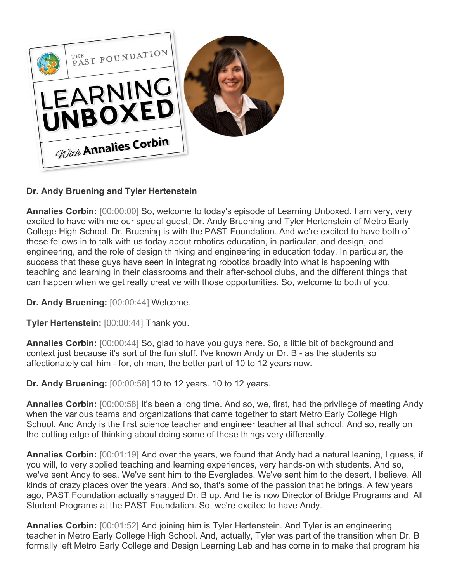

## **Dr. Andy Bruening and Tyler Hertenstein**

**Annalies Corbin:** [00:00:00] So, welcome to today's episode of Learning Unboxed. I am very, very excited to have with me our special guest, Dr. Andy Bruening and Tyler Hertenstein of Metro Early College High School. Dr. Bruening is with the PAST Foundation. And we're excited to have both of these fellows in to talk with us today about robotics education, in particular, and design, and engineering, and the role of design thinking and engineering in education today. In particular, the success that these guys have seen in integrating robotics broadly into what is happening with teaching and learning in their classrooms and their after-school clubs, and the different things that can happen when we get really creative with those opportunities. So, welcome to both of you.

**Dr. Andy Bruening:** [00:00:44] Welcome.

**Tyler Hertenstein:** [00:00:44] Thank you.

**Annalies Corbin:** [00:00:44] So, glad to have you guys here. So, a little bit of background and context just because it's sort of the fun stuff. I've known Andy or Dr. B - as the students so affectionately call him - for, oh man, the better part of 10 to 12 years now.

**Dr. Andy Bruening:** [00:00:58] 10 to 12 years. 10 to 12 years.

**Annalies Corbin:** [00:00:58] It's been a long time. And so, we, first, had the privilege of meeting Andy when the various teams and organizations that came together to start Metro Early College High School. And Andy is the first science teacher and engineer teacher at that school. And so, really on the cutting edge of thinking about doing some of these things very differently.

**Annalies Corbin:** [00:01:19] And over the years, we found that Andy had a natural leaning, I guess, if you will, to very applied teaching and learning experiences, very hands-on with students. And so, we've sent Andy to sea. We've sent him to the Everglades. We've sent him to the desert, I believe. All kinds of crazy places over the years. And so, that's some of the passion that he brings. A few years ago, PAST Foundation actually snagged Dr. B up. And he is now Director of Bridge Programs and All Student Programs at the PAST Foundation. So, we're excited to have Andy.

**Annalies Corbin:** [00:01:52] And joining him is Tyler Hertenstein. And Tyler is an engineering teacher in Metro Early College High School. And, actually, Tyler was part of the transition when Dr. B formally left Metro Early College and Design Learning Lab and has come in to make that program his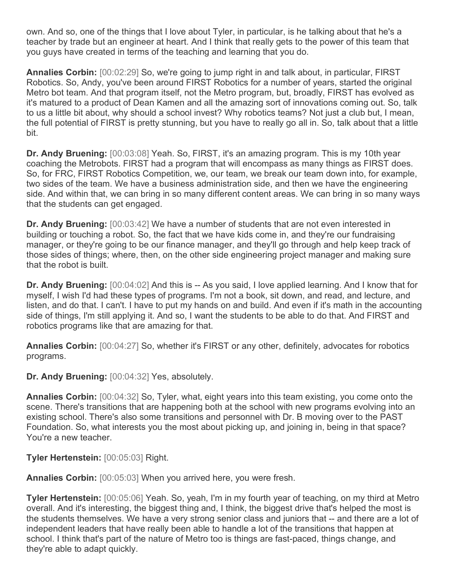own. And so, one of the things that I love about Tyler, in particular, is he talking about that he's a teacher by trade but an engineer at heart. And I think that really gets to the power of this team that you guys have created in terms of the teaching and learning that you do.

**Annalies Corbin:** [00:02:29] So, we're going to jump right in and talk about, in particular, FIRST Robotics. So, Andy, you've been around FIRST Robotics for a number of years, started the original Metro bot team. And that program itself, not the Metro program, but, broadly, FIRST has evolved as it's matured to a product of Dean Kamen and all the amazing sort of innovations coming out. So, talk to us a little bit about, why should a school invest? Why robotics teams? Not just a club but, I mean, the full potential of FIRST is pretty stunning, but you have to really go all in. So, talk about that a little bit.

**Dr. Andy Bruening:** [00:03:08] Yeah. So, FIRST, it's an amazing program. This is my 10th year coaching the Metrobots. FIRST had a program that will encompass as many things as FIRST does. So, for FRC, FIRST Robotics Competition, we, our team, we break our team down into, for example, two sides of the team. We have a business administration side, and then we have the engineering side. And within that, we can bring in so many different content areas. We can bring in so many ways that the students can get engaged.

**Dr. Andy Bruening:** [00:03:42] We have a number of students that are not even interested in building or touching a robot. So, the fact that we have kids come in, and they're our fundraising manager, or they're going to be our finance manager, and they'll go through and help keep track of those sides of things; where, then, on the other side engineering project manager and making sure that the robot is built.

**Dr. Andy Bruening:** [00:04:02] And this is -- As you said, I love applied learning. And I know that for myself, I wish I'd had these types of programs. I'm not a book, sit down, and read, and lecture, and listen, and do that. I can't. I have to put my hands on and build. And even if it's math in the accounting side of things, I'm still applying it. And so, I want the students to be able to do that. And FIRST and robotics programs like that are amazing for that.

**Annalies Corbin:** [00:04:27] So, whether it's FIRST or any other, definitely, advocates for robotics programs.

**Dr. Andy Bruening:** [00:04:32] Yes, absolutely.

**Annalies Corbin:** [00:04:32] So, Tyler, what, eight years into this team existing, you come onto the scene. There's transitions that are happening both at the school with new programs evolving into an existing school. There's also some transitions and personnel with Dr. B moving over to the PAST Foundation. So, what interests you the most about picking up, and joining in, being in that space? You're a new teacher.

**Tyler Hertenstein:** [00:05:03] Right.

**Annalies Corbin:** [00:05:03] When you arrived here, you were fresh.

**Tyler Hertenstein:** [00:05:06] Yeah. So, yeah, I'm in my fourth year of teaching, on my third at Metro overall. And it's interesting, the biggest thing and, I think, the biggest drive that's helped the most is the students themselves. We have a very strong senior class and juniors that -- and there are a lot of independent leaders that have really been able to handle a lot of the transitions that happen at school. I think that's part of the nature of Metro too is things are fast-paced, things change, and they're able to adapt quickly.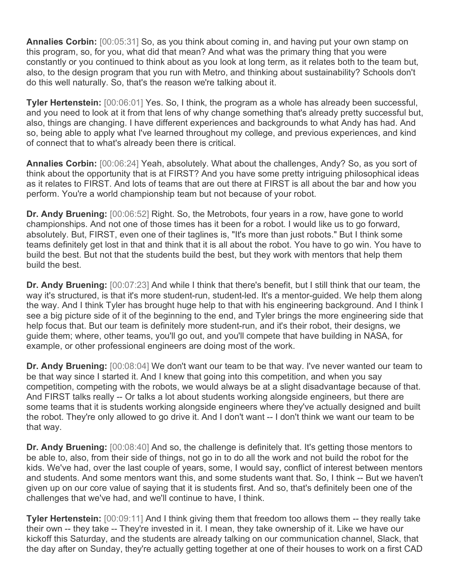**Annalies Corbin:** [00:05:31] So, as you think about coming in, and having put your own stamp on this program, so, for you, what did that mean? And what was the primary thing that you were constantly or you continued to think about as you look at long term, as it relates both to the team but, also, to the design program that you run with Metro, and thinking about sustainability? Schools don't do this well naturally. So, that's the reason we're talking about it.

**Tyler Hertenstein:** [00:06:01] Yes. So, I think, the program as a whole has already been successful, and you need to look at it from that lens of why change something that's already pretty successful but, also, things are changing. I have different experiences and backgrounds to what Andy has had. And so, being able to apply what I've learned throughout my college, and previous experiences, and kind of connect that to what's already been there is critical.

**Annalies Corbin:** [00:06:24] Yeah, absolutely. What about the challenges, Andy? So, as you sort of think about the opportunity that is at FIRST? And you have some pretty intriguing philosophical ideas as it relates to FIRST. And lots of teams that are out there at FIRST is all about the bar and how you perform. You're a world championship team but not because of your robot.

**Dr. Andy Bruening:** [00:06:52] Right. So, the Metrobots, four years in a row, have gone to world championships. And not one of those times has it been for a robot. I would like us to go forward, absolutely. But, FIRST, even one of their taglines is, "It's more than just robots." But I think some teams definitely get lost in that and think that it is all about the robot. You have to go win. You have to build the best. But not that the students build the best, but they work with mentors that help them build the best.

**Dr. Andy Bruening:** [00:07:23] And while I think that there's benefit, but I still think that our team, the way it's structured, is that it's more student-run, student-led. It's a mentor-guided. We help them along the way. And I think Tyler has brought huge help to that with his engineering background. And I think I see a big picture side of it of the beginning to the end, and Tyler brings the more engineering side that help focus that. But our team is definitely more student-run, and it's their robot, their designs, we guide them; where, other teams, you'll go out, and you'll compete that have building in NASA, for example, or other professional engineers are doing most of the work.

**Dr. Andy Bruening:** [00:08:04] We don't want our team to be that way. I've never wanted our team to be that way since I started it. And I knew that going into this competition, and when you say competition, competing with the robots, we would always be at a slight disadvantage because of that. And FIRST talks really -- Or talks a lot about students working alongside engineers, but there are some teams that it is students working alongside engineers where they've actually designed and built the robot. They're only allowed to go drive it. And I don't want -- I don't think we want our team to be that way.

**Dr. Andy Bruening:** [00:08:40] And so, the challenge is definitely that. It's getting those mentors to be able to, also, from their side of things, not go in to do all the work and not build the robot for the kids. We've had, over the last couple of years, some, I would say, conflict of interest between mentors and students. And some mentors want this, and some students want that. So, I think -- But we haven't given up on our core value of saying that it is students first. And so, that's definitely been one of the challenges that we've had, and we'll continue to have, I think.

**Tyler Hertenstein:** [00:09:11] And I think giving them that freedom too allows them -- they really take their own -- they take -- They're invested in it. I mean, they take ownership of it. Like we have our kickoff this Saturday, and the students are already talking on our communication channel, Slack, that the day after on Sunday, they're actually getting together at one of their houses to work on a first CAD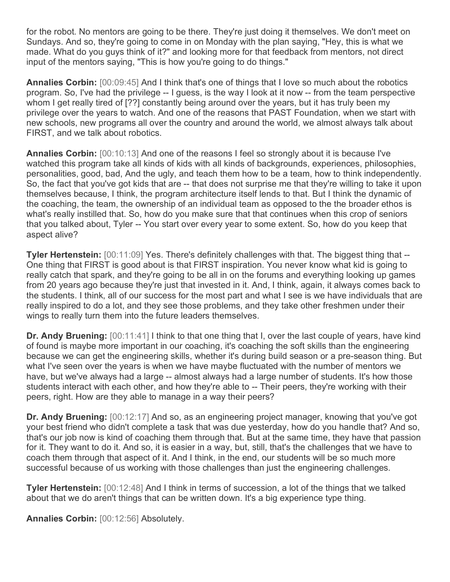for the robot. No mentors are going to be there. They're just doing it themselves. We don't meet on Sundays. And so, they're going to come in on Monday with the plan saying, "Hey, this is what we made. What do you guys think of it?" and looking more for that feedback from mentors, not direct input of the mentors saying, "This is how you're going to do things."

**Annalies Corbin:** [00:09:45] And I think that's one of things that I love so much about the robotics program. So, I've had the privilege -- I guess, is the way I look at it now -- from the team perspective whom I get really tired of [??] constantly being around over the years, but it has truly been my privilege over the years to watch. And one of the reasons that PAST Foundation, when we start with new schools, new programs all over the country and around the world, we almost always talk about FIRST, and we talk about robotics.

**Annalies Corbin:** [00:10:13] And one of the reasons I feel so strongly about it is because I've watched this program take all kinds of kids with all kinds of backgrounds, experiences, philosophies, personalities, good, bad, And the ugly, and teach them how to be a team, how to think independently. So, the fact that you've got kids that are -- that does not surprise me that they're willing to take it upon themselves because, I think, the program architecture itself lends to that. But I think the dynamic of the coaching, the team, the ownership of an individual team as opposed to the the broader ethos is what's really instilled that. So, how do you make sure that that continues when this crop of seniors that you talked about, Tyler -- You start over every year to some extent. So, how do you keep that aspect alive?

**Tyler Hertenstein:** [00:11:09] Yes. There's definitely challenges with that. The biggest thing that --One thing that FIRST is good about is that FIRST inspiration. You never know what kid is going to really catch that spark, and they're going to be all in on the forums and everything looking up games from 20 years ago because they're just that invested in it. And, I think, again, it always comes back to the students. I think, all of our success for the most part and what I see is we have individuals that are really inspired to do a lot, and they see those problems, and they take other freshmen under their wings to really turn them into the future leaders themselves.

**Dr. Andy Bruening:** [00:11:41] I think to that one thing that I, over the last couple of years, have kind of found is maybe more important in our coaching, it's coaching the soft skills than the engineering because we can get the engineering skills, whether it's during build season or a pre-season thing. But what I've seen over the years is when we have maybe fluctuated with the number of mentors we have, but we've always had a large -- almost always had a large number of students. It's how those students interact with each other, and how they're able to -- Their peers, they're working with their peers, right. How are they able to manage in a way their peers?

**Dr. Andy Bruening:** [00:12:17] And so, as an engineering project manager, knowing that you've got your best friend who didn't complete a task that was due yesterday, how do you handle that? And so, that's our job now is kind of coaching them through that. But at the same time, they have that passion for it. They want to do it. And so, it is easier in a way, but, still, that's the challenges that we have to coach them through that aspect of it. And I think, in the end, our students will be so much more successful because of us working with those challenges than just the engineering challenges.

**Tyler Hertenstein:** [00:12:48] And I think in terms of succession, a lot of the things that we talked about that we do aren't things that can be written down. It's a big experience type thing.

**Annalies Corbin:** [00:12:56] Absolutely.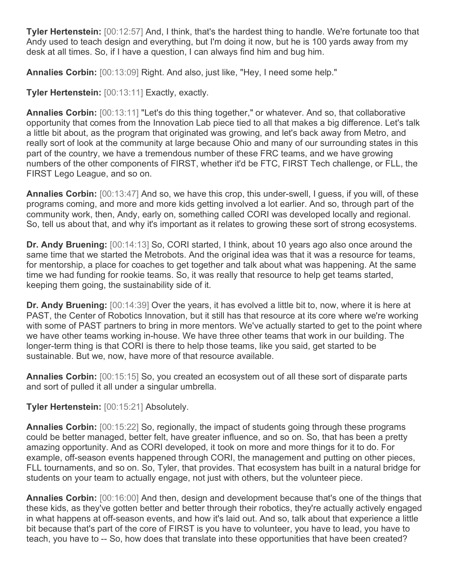**Tyler Hertenstein:** [00:12:57] And, I think, that's the hardest thing to handle. We're fortunate too that Andy used to teach design and everything, but I'm doing it now, but he is 100 yards away from my desk at all times. So, if I have a question, I can always find him and bug him.

**Annalies Corbin:** [00:13:09] Right. And also, just like, "Hey, I need some help."

**Tyler Hertenstein:** [00:13:11] Exactly, exactly.

**Annalies Corbin:** [00:13:11] "Let's do this thing together," or whatever. And so, that collaborative opportunity that comes from the Innovation Lab piece tied to all that makes a big difference. Let's talk a little bit about, as the program that originated was growing, and let's back away from Metro, and really sort of look at the community at large because Ohio and many of our surrounding states in this part of the country, we have a tremendous number of these FRC teams, and we have growing numbers of the other components of FIRST, whether it'd be FTC, FIRST Tech challenge, or FLL, the FIRST Lego League, and so on.

**Annalies Corbin:** [00:13:47] And so, we have this crop, this under-swell, I guess, if you will, of these programs coming, and more and more kids getting involved a lot earlier. And so, through part of the community work, then, Andy, early on, something called CORI was developed locally and regional. So, tell us about that, and why it's important as it relates to growing these sort of strong ecosystems.

**Dr. Andy Bruening:** [00:14:13] So, CORI started, I think, about 10 years ago also once around the same time that we started the Metrobots. And the original idea was that it was a resource for teams, for mentorship, a place for coaches to get together and talk about what was happening. At the same time we had funding for rookie teams. So, it was really that resource to help get teams started, keeping them going, the sustainability side of it.

**Dr. Andy Bruening:** [00:14:39] Over the years, it has evolved a little bit to, now, where it is here at PAST, the Center of Robotics Innovation, but it still has that resource at its core where we're working with some of PAST partners to bring in more mentors. We've actually started to get to the point where we have other teams working in-house. We have three other teams that work in our building. The longer-term thing is that CORI is there to help those teams, like you said, get started to be sustainable. But we, now, have more of that resource available.

**Annalies Corbin:** [00:15:15] So, you created an ecosystem out of all these sort of disparate parts and sort of pulled it all under a singular umbrella.

## **Tyler Hertenstein:** [00:15:21] Absolutely.

**Annalies Corbin:** [00:15:22] So, regionally, the impact of students going through these programs could be better managed, better felt, have greater influence, and so on. So, that has been a pretty amazing opportunity. And as CORI developed, it took on more and more things for it to do. For example, off-season events happened through CORI, the management and putting on other pieces, FLL tournaments, and so on. So, Tyler, that provides. That ecosystem has built in a natural bridge for students on your team to actually engage, not just with others, but the volunteer piece.

**Annalies Corbin:** [00:16:00] And then, design and development because that's one of the things that these kids, as they've gotten better and better through their robotics, they're actually actively engaged in what happens at off-season events, and how it's laid out. And so, talk about that experience a little bit because that's part of the core of FIRST is you have to volunteer, you have to lead, you have to teach, you have to -- So, how does that translate into these opportunities that have been created?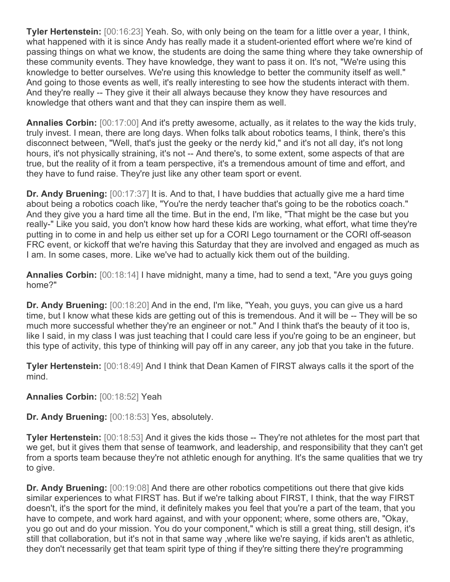**Tyler Hertenstein:** [00:16:23] Yeah. So, with only being on the team for a little over a year, I think, what happened with it is since Andy has really made it a student-oriented effort where we're kind of passing things on what we know, the students are doing the same thing where they take ownership of these community events. They have knowledge, they want to pass it on. It's not, "We're using this knowledge to better ourselves. We're using this knowledge to better the community itself as well." And going to those events as well, it's really interesting to see how the students interact with them. And they're really -- They give it their all always because they know they have resources and knowledge that others want and that they can inspire them as well.

**Annalies Corbin:** [00:17:00] And it's pretty awesome, actually, as it relates to the way the kids truly, truly invest. I mean, there are long days. When folks talk about robotics teams, I think, there's this disconnect between, "Well, that's just the geeky or the nerdy kid," and it's not all day, it's not long hours, it's not physically straining, it's not -- And there's, to some extent, some aspects of that are true, but the reality of it from a team perspective, it's a tremendous amount of time and effort, and they have to fund raise. They're just like any other team sport or event.

**Dr. Andy Bruening:** [00:17:37] It is. And to that, I have buddies that actually give me a hard time about being a robotics coach like, "You're the nerdy teacher that's going to be the robotics coach." And they give you a hard time all the time. But in the end, I'm like, "That might be the case but you really-" Like you said, you don't know how hard these kids are working, what effort, what time they're putting in to come in and help us either set up for a CORI Lego tournament or the CORI off-season FRC event, or kickoff that we're having this Saturday that they are involved and engaged as much as I am. In some cases, more. Like we've had to actually kick them out of the building.

**Annalies Corbin:** [00:18:14] I have midnight, many a time, had to send a text, "Are you guys going home?"

**Dr. Andy Bruening:** [00:18:20] And in the end, I'm like, "Yeah, you guys, you can give us a hard time, but I know what these kids are getting out of this is tremendous. And it will be -- They will be so much more successful whether they're an engineer or not." And I think that's the beauty of it too is, like I said, in my class I was just teaching that I could care less if you're going to be an engineer, but this type of activity, this type of thinking will pay off in any career, any job that you take in the future.

**Tyler Hertenstein:** [00:18:49] And I think that Dean Kamen of FIRST always calls it the sport of the mind.

**Annalies Corbin:** [00:18:52] Yeah

**Dr. Andy Bruening:** [00:18:53] Yes, absolutely.

**Tyler Hertenstein:** [00:18:53] And it gives the kids those -- They're not athletes for the most part that we get, but it gives them that sense of teamwork, and leadership, and responsibility that they can't get from a sports team because they're not athletic enough for anything. It's the same qualities that we try to give.

**Dr. Andy Bruening:** [00:19:08] And there are other robotics competitions out there that give kids similar experiences to what FIRST has. But if we're talking about FIRST, I think, that the way FIRST doesn't, it's the sport for the mind, it definitely makes you feel that you're a part of the team, that you have to compete, and work hard against, and with your opponent; where, some others are, "Okay, you go out and do your mission. You do your component," which is still a great thing, still design, it's still that collaboration, but it's not in that same way ,where like we're saying, if kids aren't as athletic, they don't necessarily get that team spirit type of thing if they're sitting there they're programming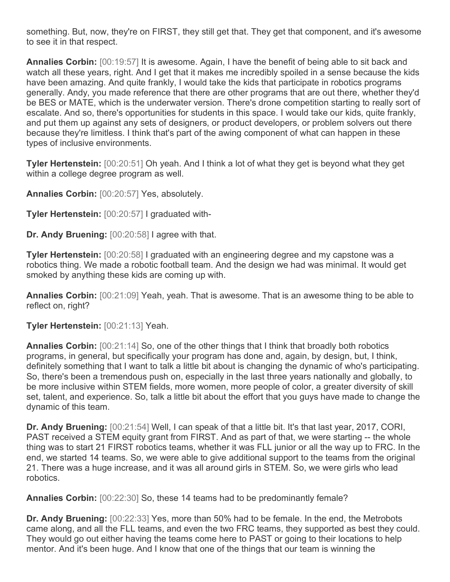something. But, now, they're on FIRST, they still get that. They get that component, and it's awesome to see it in that respect.

**Annalies Corbin:** [00:19:57] It is awesome. Again, I have the benefit of being able to sit back and watch all these years, right. And I get that it makes me incredibly spoiled in a sense because the kids have been amazing. And quite frankly, I would take the kids that participate in robotics programs generally. Andy, you made reference that there are other programs that are out there, whether they'd be BES or MATE, which is the underwater version. There's drone competition starting to really sort of escalate. And so, there's opportunities for students in this space. I would take our kids, quite frankly, and put them up against any sets of designers, or product developers, or problem solvers out there because they're limitless. I think that's part of the awing component of what can happen in these types of inclusive environments.

**Tyler Hertenstein:** [00:20:51] Oh yeah. And I think a lot of what they get is beyond what they get within a college degree program as well.

**Annalies Corbin:** [00:20:57] Yes, absolutely.

**Tyler Hertenstein:** [00:20:57] I graduated with-

**Dr. Andy Bruening:** [00:20:58] I agree with that.

**Tyler Hertenstein:** [00:20:58] I graduated with an engineering degree and my capstone was a robotics thing. We made a robotic football team. And the design we had was minimal. It would get smoked by anything these kids are coming up with.

**Annalies Corbin:** [00:21:09] Yeah, yeah. That is awesome. That is an awesome thing to be able to reflect on, right?

**Tyler Hertenstein:** [00:21:13] Yeah.

**Annalies Corbin:** [00:21:14] So, one of the other things that I think that broadly both robotics programs, in general, but specifically your program has done and, again, by design, but, I think, definitely something that I want to talk a little bit about is changing the dynamic of who's participating. So, there's been a tremendous push on, especially in the last three years nationally and globally, to be more inclusive within STEM fields, more women, more people of color, a greater diversity of skill set, talent, and experience. So, talk a little bit about the effort that you guys have made to change the dynamic of this team.

**Dr. Andy Bruening:** [00:21:54] Well, I can speak of that a little bit. It's that last year, 2017, CORI, PAST received a STEM equity grant from FIRST. And as part of that, we were starting -- the whole thing was to start 21 FIRST robotics teams, whether it was FLL junior or all the way up to FRC. In the end, we started 14 teams. So, we were able to give additional support to the teams from the original 21. There was a huge increase, and it was all around girls in STEM. So, we were girls who lead robotics.

**Annalies Corbin:** [00:22:30] So, these 14 teams had to be predominantly female?

**Dr. Andy Bruening:** [00:22:33] Yes, more than 50% had to be female. In the end, the Metrobots came along, and all the FLL teams, and even the two FRC teams, they supported as best they could. They would go out either having the teams come here to PAST or going to their locations to help mentor. And it's been huge. And I know that one of the things that our team is winning the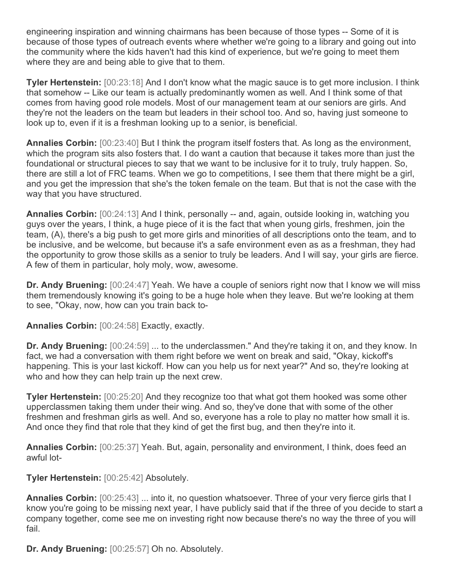engineering inspiration and winning chairmans has been because of those types -- Some of it is because of those types of outreach events where whether we're going to a library and going out into the community where the kids haven't had this kind of experience, but we're going to meet them where they are and being able to give that to them.

**Tyler Hertenstein:** [00:23:18] And I don't know what the magic sauce is to get more inclusion. I think that somehow -- Like our team is actually predominantly women as well. And I think some of that comes from having good role models. Most of our management team at our seniors are girls. And they're not the leaders on the team but leaders in their school too. And so, having just someone to look up to, even if it is a freshman looking up to a senior, is beneficial.

**Annalies Corbin:** [00:23:40] But I think the program itself fosters that. As long as the environment, which the program sits also fosters that. I do want a caution that because it takes more than just the foundational or structural pieces to say that we want to be inclusive for it to truly, truly happen. So, there are still a lot of FRC teams. When we go to competitions, I see them that there might be a girl, and you get the impression that she's the token female on the team. But that is not the case with the way that you have structured.

**Annalies Corbin:** [00:24:13] And I think, personally -- and, again, outside looking in, watching you guys over the years, I think, a huge piece of it is the fact that when young girls, freshmen, join the team, (A), there's a big push to get more girls and minorities of all descriptions onto the team, and to be inclusive, and be welcome, but because it's a safe environment even as as a freshman, they had the opportunity to grow those skills as a senior to truly be leaders. And I will say, your girls are fierce. A few of them in particular, holy moly, wow, awesome.

**Dr. Andy Bruening:** [00:24:47] Yeah. We have a couple of seniors right now that I know we will miss them tremendously knowing it's going to be a huge hole when they leave. But we're looking at them to see, "Okay, now, how can you train back to-

**Annalies Corbin:** [00:24:58] Exactly, exactly.

**Dr. Andy Bruening:** [00:24:59] ... to the underclassmen." And they're taking it on, and they know. In fact, we had a conversation with them right before we went on break and said, "Okay, kickoff's happening. This is your last kickoff. How can you help us for next year?" And so, they're looking at who and how they can help train up the next crew.

**Tyler Hertenstein:** [00:25:20] And they recognize too that what got them hooked was some other upperclassmen taking them under their wing. And so, they've done that with some of the other freshmen and freshman girls as well. And so, everyone has a role to play no matter how small it is. And once they find that role that they kind of get the first bug, and then they're into it.

**Annalies Corbin:** [00:25:37] Yeah. But, again, personality and environment, I think, does feed an awful lot-

**Tyler Hertenstein:** [00:25:42] Absolutely.

**Annalies Corbin:** [00:25:43] ... into it, no question whatsoever. Three of your very fierce girls that I know you're going to be missing next year, I have publicly said that if the three of you decide to start a company together, come see me on investing right now because there's no way the three of you will fail.

**Dr. Andy Bruening:** [00:25:57] Oh no. Absolutely.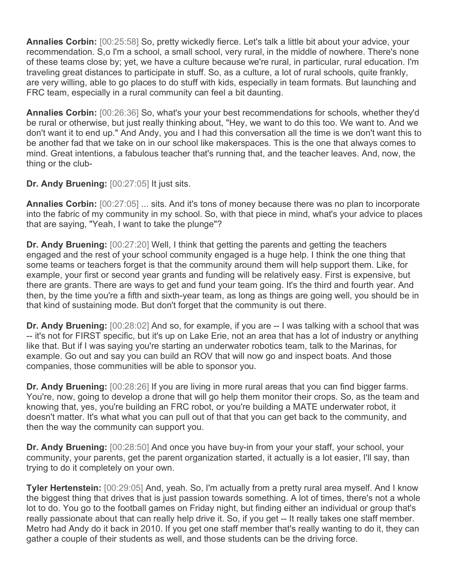**Annalies Corbin:** [00:25:58] So, pretty wickedly fierce. Let's talk a little bit about your advice, your recommendation. S,o I'm a school, a small school, very rural, in the middle of nowhere. There's none of these teams close by; yet, we have a culture because we're rural, in particular, rural education. I'm traveling great distances to participate in stuff. So, as a culture, a lot of rural schools, quite frankly, are very willing, able to go places to do stuff with kids, especially in team formats. But launching and FRC team, especially in a rural community can feel a bit daunting.

**Annalies Corbin:** [00:26:36] So, what's your your best recommendations for schools, whether they'd be rural or otherwise, but just really thinking about, "Hey, we want to do this too. We want to. And we don't want it to end up." And Andy, you and I had this conversation all the time is we don't want this to be another fad that we take on in our school like makerspaces. This is the one that always comes to mind. Great intentions, a fabulous teacher that's running that, and the teacher leaves. And, now, the thing or the club-

**Dr. Andy Bruening:** [00:27:05] It just sits.

**Annalies Corbin:** [00:27:05] ... sits. And it's tons of money because there was no plan to incorporate into the fabric of my community in my school. So, with that piece in mind, what's your advice to places that are saying, "Yeah, I want to take the plunge"?

**Dr. Andy Bruening:** [00:27:20] Well, I think that getting the parents and getting the teachers engaged and the rest of your school community engaged is a huge help. I think the one thing that some teams or teachers forget is that the community around them will help support them. Like, for example, your first or second year grants and funding will be relatively easy. First is expensive, but there are grants. There are ways to get and fund your team going. It's the third and fourth year. And then, by the time you're a fifth and sixth-year team, as long as things are going well, you should be in that kind of sustaining mode. But don't forget that the community is out there.

**Dr. Andy Bruening:** [00:28:02] And so, for example, if you are -- I was talking with a school that was -- it's not for FIRST specific, but it's up on Lake Erie, not an area that has a lot of industry or anything like that. But if I was saying you're starting an underwater robotics team, talk to the Marinas, for example. Go out and say you can build an ROV that will now go and inspect boats. And those companies, those communities will be able to sponsor you.

**Dr. Andy Bruening:** [00:28:26] If you are living in more rural areas that you can find bigger farms. You're, now, going to develop a drone that will go help them monitor their crops. So, as the team and knowing that, yes, you're building an FRC robot, or you're building a MATE underwater robot, it doesn't matter. It's what what you can pull out of that that you can get back to the community, and then the way the community can support you.

**Dr. Andy Bruening:** [00:28:50] And once you have buy-in from your your staff, your school, your community, your parents, get the parent organization started, it actually is a lot easier, I'll say, than trying to do it completely on your own.

**Tyler Hertenstein:** [00:29:05] And, yeah. So, I'm actually from a pretty rural area myself. And I know the biggest thing that drives that is just passion towards something. A lot of times, there's not a whole lot to do. You go to the football games on Friday night, but finding either an individual or group that's really passionate about that can really help drive it. So, if you get -- It really takes one staff member. Metro had Andy do it back in 2010. If you get one staff member that's really wanting to do it, they can gather a couple of their students as well, and those students can be the driving force.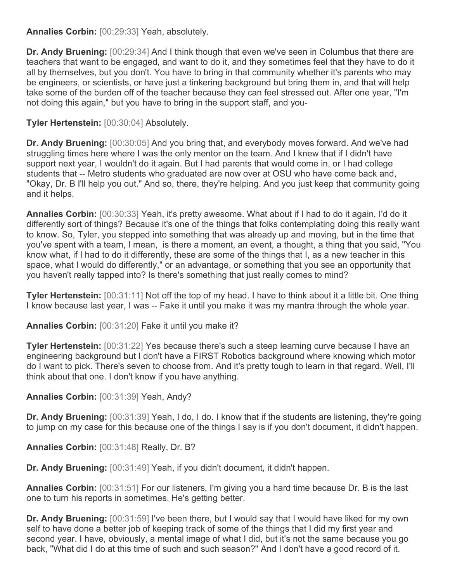**Annalies Corbin:** [00:29:33] Yeah, absolutely.

**Dr. Andy Bruening:** [00:29:34] And I think though that even we've seen in Columbus that there are teachers that want to be engaged, and want to do it, and they sometimes feel that they have to do it all by themselves, but you don't. You have to bring in that community whether it's parents who may be engineers, or scientists, or have just a tinkering background but bring them in, and that will help take some of the burden off of the teacher because they can feel stressed out. After one year, "I'm not doing this again," but you have to bring in the support staff, and you-

## **Tyler Hertenstein:** [00:30:04] Absolutely.

**Dr. Andy Bruening:** [00:30:05] And you bring that, and everybody moves forward. And we've had struggling times here where I was the only mentor on the team. And I knew that if I didn't have support next year, I wouldn't do it again. But I had parents that would come in, or I had college students that -- Metro students who graduated are now over at OSU who have come back and, "Okay, Dr. B I'll help you out." And so, there, they're helping. And you just keep that community going and it helps.

**Annalies Corbin:** [00:30:33] Yeah, it's pretty awesome. What about if I had to do it again, I'd do it differently sort of things? Because it's one of the things that folks contemplating doing this really want to know. So, Tyler, you stepped into something that was already up and moving, but in the time that you've spent with a team, I mean, is there a moment, an event, a thought, a thing that you said, "You know what, if I had to do it differently, these are some of the things that I, as a new teacher in this space, what I would do differently," or an advantage, or something that you see an opportunity that you haven't really tapped into? Is there's something that just really comes to mind?

**Tyler Hertenstein:** [00:31:11] Not off the top of my head. I have to think about it a little bit. One thing I know because last year, I was -- Fake it until you make it was my mantra through the whole year.

**Annalies Corbin:** [00:31:20] Fake it until you make it?

**Tyler Hertenstein:** [00:31:22] Yes because there's such a steep learning curve because I have an engineering background but I don't have a FIRST Robotics background where knowing which motor do I want to pick. There's seven to choose from. And it's pretty tough to learn in that regard. Well, I'll think about that one. I don't know if you have anything.

**Annalies Corbin:** [00:31:39] Yeah, Andy?

**Dr. Andy Bruening:** [00:31:39] Yeah, I do, I do. I know that if the students are listening, they're going to jump on my case for this because one of the things I say is if you don't document, it didn't happen.

**Annalies Corbin:** [00:31:48] Really, Dr. B?

**Dr. Andy Bruening:** [00:31:49] Yeah, if you didn't document, it didn't happen.

**Annalies Corbin:** [00:31:51] For our listeners, I'm giving you a hard time because Dr. B is the last one to turn his reports in sometimes. He's getting better.

**Dr. Andy Bruening:** [00:31:59] I've been there, but I would say that I would have liked for my own self to have done a better job of keeping track of some of the things that I did my first year and second year. I have, obviously, a mental image of what I did, but it's not the same because you go back, "What did I do at this time of such and such season?" And I don't have a good record of it.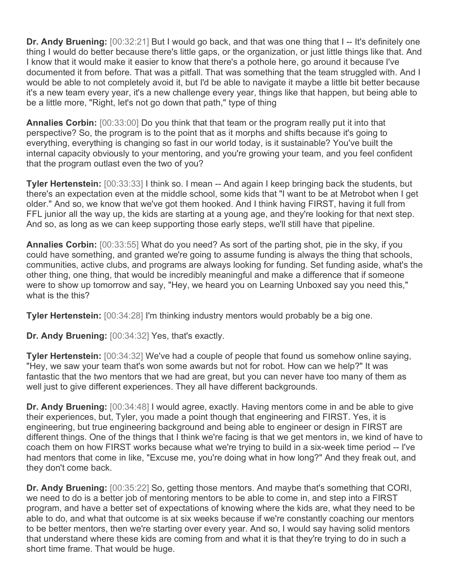**Dr. Andy Bruening:** [00:32:21] But I would go back, and that was one thing that I -- It's definitely one thing I would do better because there's little gaps, or the organization, or just little things like that. And I know that it would make it easier to know that there's a pothole here, go around it because I've documented it from before. That was a pitfall. That was something that the team struggled with. And I would be able to not completely avoid it, but I'd be able to navigate it maybe a little bit better because it's a new team every year, it's a new challenge every year, things like that happen, but being able to be a little more, "Right, let's not go down that path," type of thing

**Annalies Corbin:** [00:33:00] Do you think that that team or the program really put it into that perspective? So, the program is to the point that as it morphs and shifts because it's going to everything, everything is changing so fast in our world today, is it sustainable? You've built the internal capacity obviously to your mentoring, and you're growing your team, and you feel confident that the program outlast even the two of you?

**Tyler Hertenstein:** [00:33:33] I think so. I mean -- And again I keep bringing back the students, but there's an expectation even at the middle school, some kids that "I want to be at Metrobot when I get older." And so, we know that we've got them hooked. And I think having FIRST, having it full from FFL junior all the way up, the kids are starting at a young age, and they're looking for that next step. And so, as long as we can keep supporting those early steps, we'll still have that pipeline.

**Annalies Corbin:** [00:33:55] What do you need? As sort of the parting shot, pie in the sky, if you could have something, and granted we're going to assume funding is always the thing that schools, communities, active clubs, and programs are always looking for funding. Set funding aside, what's the other thing, one thing, that would be incredibly meaningful and make a difference that if someone were to show up tomorrow and say, "Hey, we heard you on Learning Unboxed say you need this," what is the this?

**Tyler Hertenstein:** [00:34:28] I'm thinking industry mentors would probably be a big one.

**Dr. Andy Bruening:** [00:34:32] Yes, that's exactly.

**Tyler Hertenstein:** [00:34:32] We've had a couple of people that found us somehow online saying, "Hey, we saw your team that's won some awards but not for robot. How can we help?" It was fantastic that the two mentors that we had are great, but you can never have too many of them as well just to give different experiences. They all have different backgrounds.

**Dr. Andy Bruening:** [00:34:48] I would agree, exactly. Having mentors come in and be able to give their experiences, but, Tyler, you made a point though that engineering and FIRST. Yes, it is engineering, but true engineering background and being able to engineer or design in FIRST are different things. One of the things that I think we're facing is that we get mentors in, we kind of have to coach them on how FIRST works because what we're trying to build in a six-week time period -- I've had mentors that come in like, "Excuse me, you're doing what in how long?" And they freak out, and they don't come back.

**Dr. Andy Bruening:** [00:35:22] So, getting those mentors. And maybe that's something that CORI, we need to do is a better job of mentoring mentors to be able to come in, and step into a FIRST program, and have a better set of expectations of knowing where the kids are, what they need to be able to do, and what that outcome is at six weeks because if we're constantly coaching our mentors to be better mentors, then we're starting over every year. And so, I would say having solid mentors that understand where these kids are coming from and what it is that they're trying to do in such a short time frame. That would be huge.